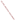